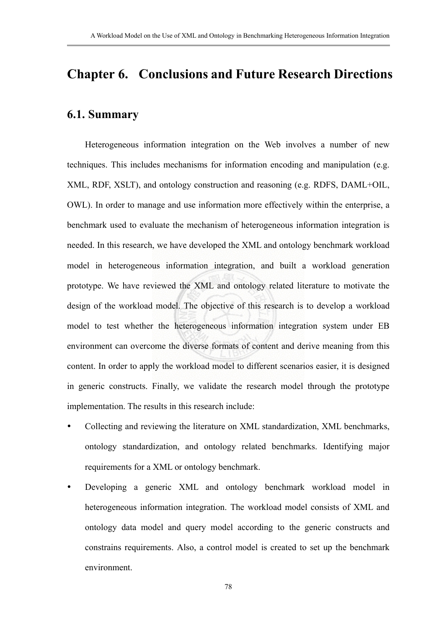## **Chapter 6. Conclusions and Future Research Directions**

## **6.1. Summary**

Heterogeneous information integration on the Web involves a number of new techniques. This includes mechanisms for information encoding and manipulation (e.g. XML, RDF, XSLT), and ontology construction and reasoning (e.g. RDFS, DAML+OIL, OWL). In order to manage and use information more effectively within the enterprise, a benchmark used to evaluate the mechanism of heterogeneous information integration is needed. In this research, we have developed the XML and ontology benchmark workload model in heterogeneous information integration, and built a workload generation prototype. We have reviewed the XML and ontology related literature to motivate the design of the workload model. The objective of this research is to develop a workload model to test whether the heterogeneous information integration system under EB environment can overcome the diverse formats of content and derive meaning from this content. In order to apply the workload model to different scenarios easier, it is designed in generic constructs. Finally, we validate the research model through the prototype implementation. The results in this research include:

- Collecting and reviewing the literature on XML standardization, XML benchmarks, ontology standardization, and ontology related benchmarks. Identifying major requirements for a XML or ontology benchmark.
- Developing a generic XML and ontology benchmark workload model in heterogeneous information integration. The workload model consists of XML and ontology data model and query model according to the generic constructs and constrains requirements. Also, a control model is created to set up the benchmark environment.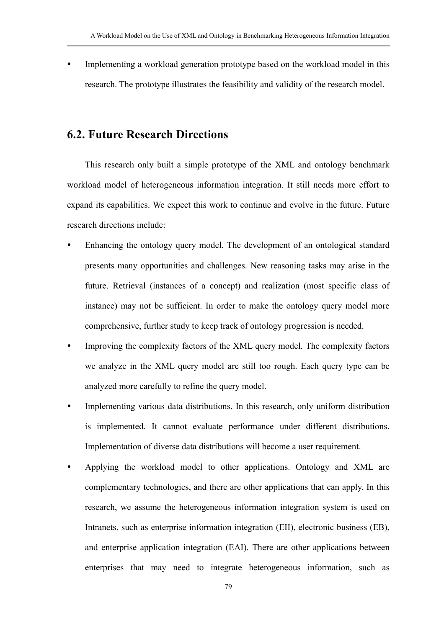Implementing a workload generation prototype based on the workload model in this research. The prototype illustrates the feasibility and validity of the research model.

## **6.2. Future Research Directions**

This research only built a simple prototype of the XML and ontology benchmark workload model of heterogeneous information integration. It still needs more effort to expand its capabilities. We expect this work to continue and evolve in the future. Future research directions include:

- Enhancing the ontology query model. The development of an ontological standard presents many opportunities and challenges. New reasoning tasks may arise in the future. Retrieval (instances of a concept) and realization (most specific class of instance) may not be sufficient. In order to make the ontology query model more comprehensive, further study to keep track of ontology progression is needed.
- Improving the complexity factors of the XML query model. The complexity factors we analyze in the XML query model are still too rough. Each query type can be analyzed more carefully to refine the query model.
- Implementing various data distributions. In this research, only uniform distribution is implemented. It cannot evaluate performance under different distributions. Implementation of diverse data distributions will become a user requirement.
- Applying the workload model to other applications. Ontology and XML are complementary technologies, and there are other applications that can apply. In this research, we assume the heterogeneous information integration system is used on Intranets, such as enterprise information integration (EII), electronic business (EB), and enterprise application integration (EAI). There are other applications between enterprises that may need to integrate heterogeneous information, such as